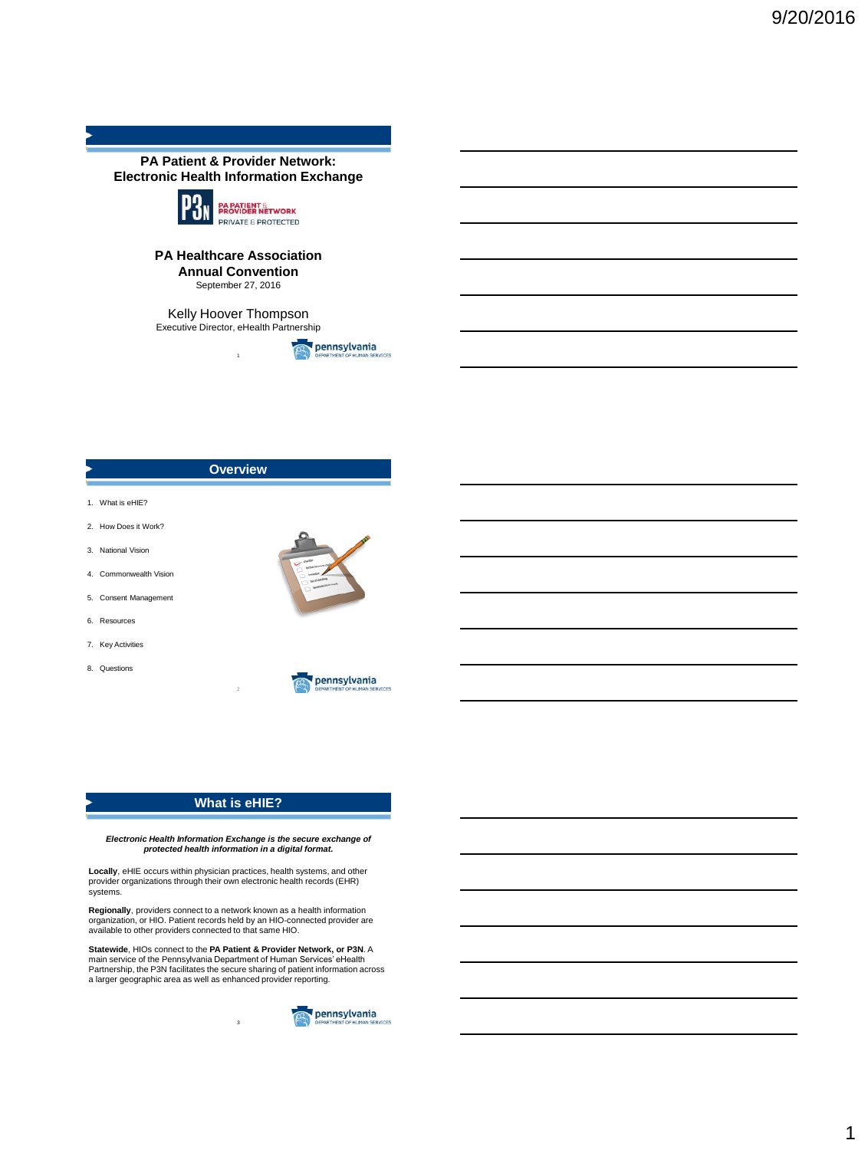

### **PA Healthcare Association Annual Convention** September 27, 2016

Kelly Hoover Thompson Executive Director, eHealth Partnership

1









# **What is eHIE?**

2

*Electronic Health Information Exchange is the secure exchange of protected health information in a digital format.* 

**Locally**, eHIE occurs within physician practices, health systems, and other provider organizations through their own electronic health records (EHR) systems.

**Regionally**, providers connect to a network known as a health information organization, or HIO. Patient records held by an HIO-connected provider are available to other providers connected to that same HIO.

**Statewide**, HIOs connect to the **PA Patient & Provider Network, or P3N**. A main service of the Pennsylvania Department of Human Services' eHealth Partnership, the P3N facilitates the secure sharing of patient information across a larger geographic area as well as enhanced provider reporting.

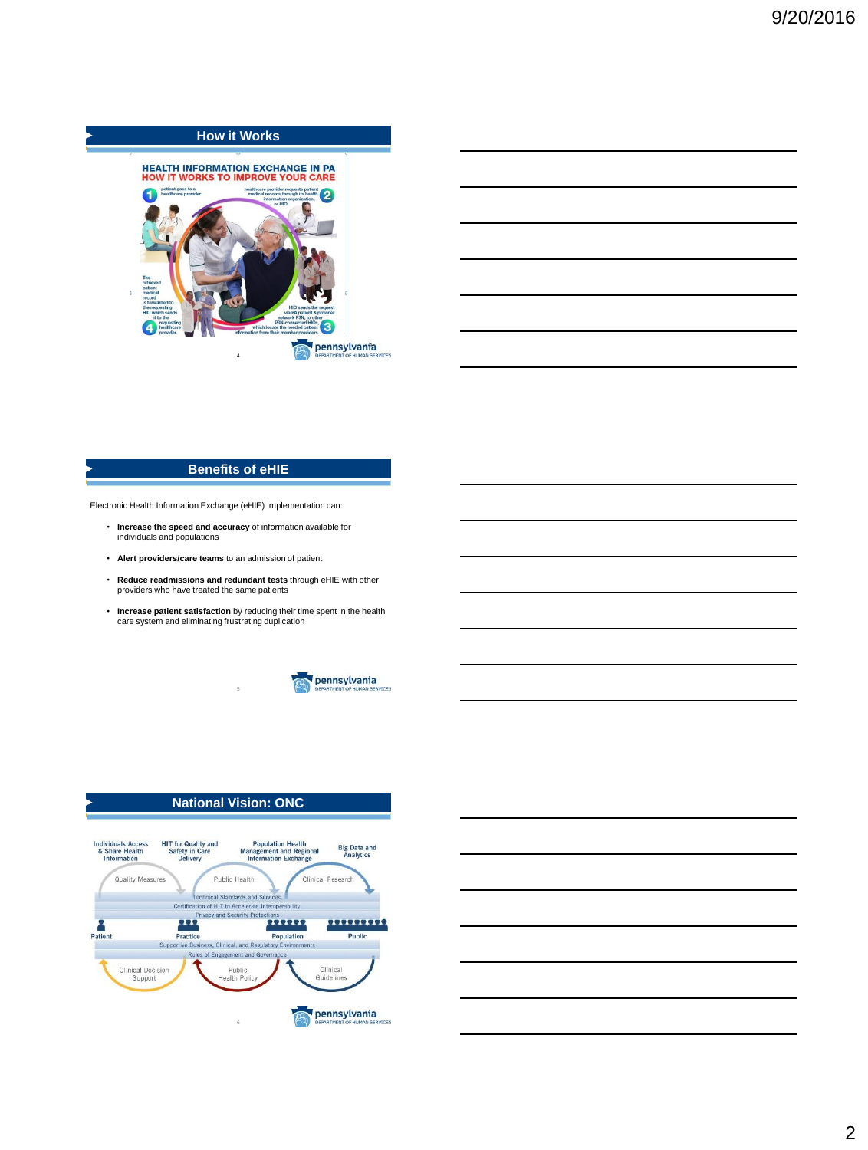

## **Benefits of eHIE**

Electronic Health Information Exchange (eHIE) implementation can:

- **Increase the speed and accuracy** of information available for individuals and populations
- **Alert providers/care teams** to an admission of patient
- **Reduce readmissions and redundant tests** through eHIE with other providers who have treated the same patients
- **Increase patient satisfaction** by reducing their time spent in the health care system and eliminating frustrating duplication

5



## **National Vision: ONC**



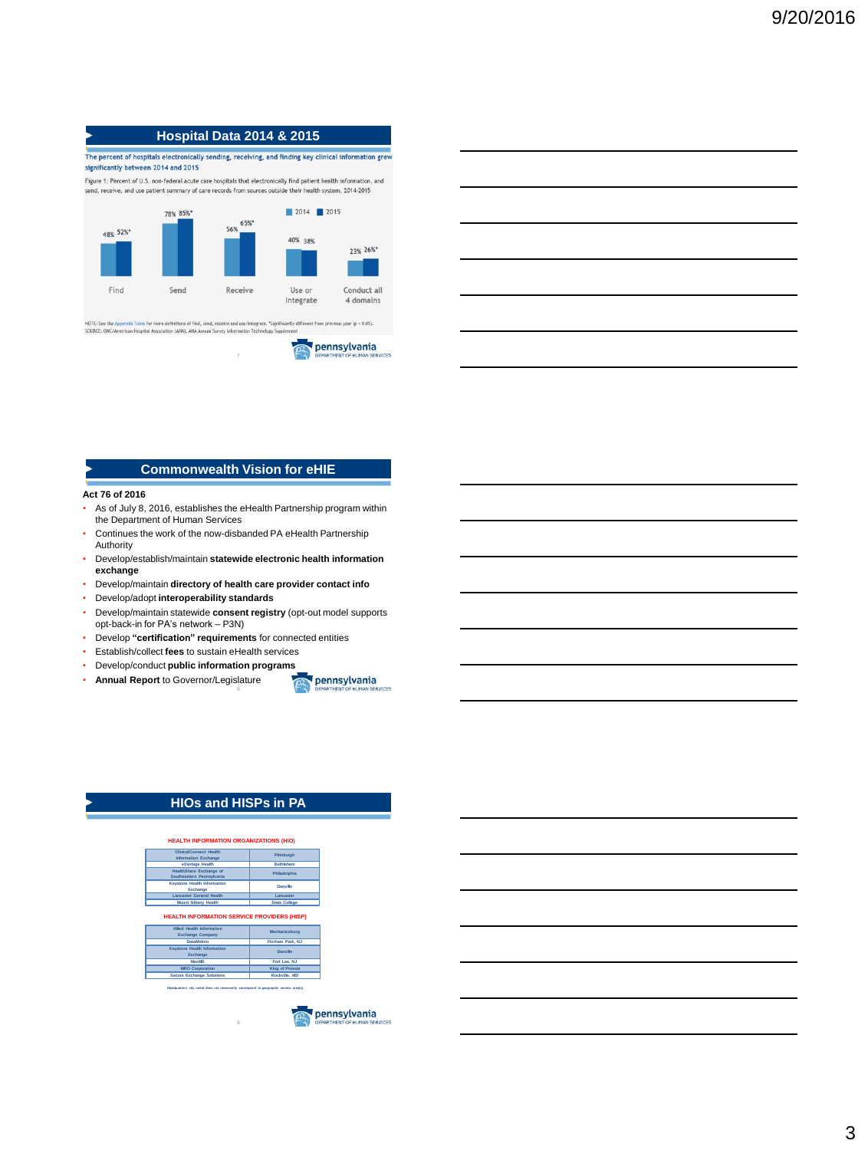# **Hospital Data 2014 & 2015**

The percent of hospitals electronically sending, receiving, and finding key clinical information grew significantly between 2014 and 2015

Figure 1: Percent of U.S. non-federal acute care hospitals that electronically find patient health information, and send, receive, and use patient summary of care records from sources outside their health system, 2014-2015



7

| $\blacksquare$ Commonwealth Vision for <code>eHIE</code> |  |
|----------------------------------------------------------|--|

#### **Act 76 of 2016**

- As of July 8, 2016, establishes the eHealth Partnership program within the Department of Human Services
- Continues the work of the now-disbanded PA eHealth Partnership Authority
- Develop/establish/maintain **statewide electronic health information exchange**
- Develop/maintain **directory of health care provider contact info**
- Develop/adopt **interoperability standards**
- Develop/maintain statewide **consent registry** (opt-out model supports opt-back-in for PA's network – P3N)

8

- Develop **"certification" requirements** for connected entities
- Establish/collect **fees** to sustain eHealth services
- Develop/conduct **public information programs**
- **Annual Report** to Governor/Legislature pennsylvania
	-

## **HIOs and HISPs in PA**

| eVantage Health                                                                   | Rethlehem                           |
|-----------------------------------------------------------------------------------|-------------------------------------|
| HealthShare Exchange of<br>Southeastern Pennsylvania                              | Philadelphia                        |
| Keystone Health Information<br>Exchange                                           | Danylle                             |
|                                                                                   | Lancaster                           |
| <b>Lancaster General Health</b>                                                   |                                     |
| <b>Mount Nittany Health</b><br><b>HEALTH INFORMATION SERVICE PROVIDERS (HISP)</b> | <b>State College</b>                |
| <b>Allied Health Information</b><br>Exchange Company                              | <b>Mechanicsburg</b>                |
| <b>DataMotion</b>                                                                 |                                     |
| <b>Keystone Health Information</b><br>Exchange                                    | Florham Park, NJ<br><b>Danville</b> |
| MayMD                                                                             | Fort Lee, NJ                        |
| <b>MRO Corporation</b>                                                            | King of Prussia                     |

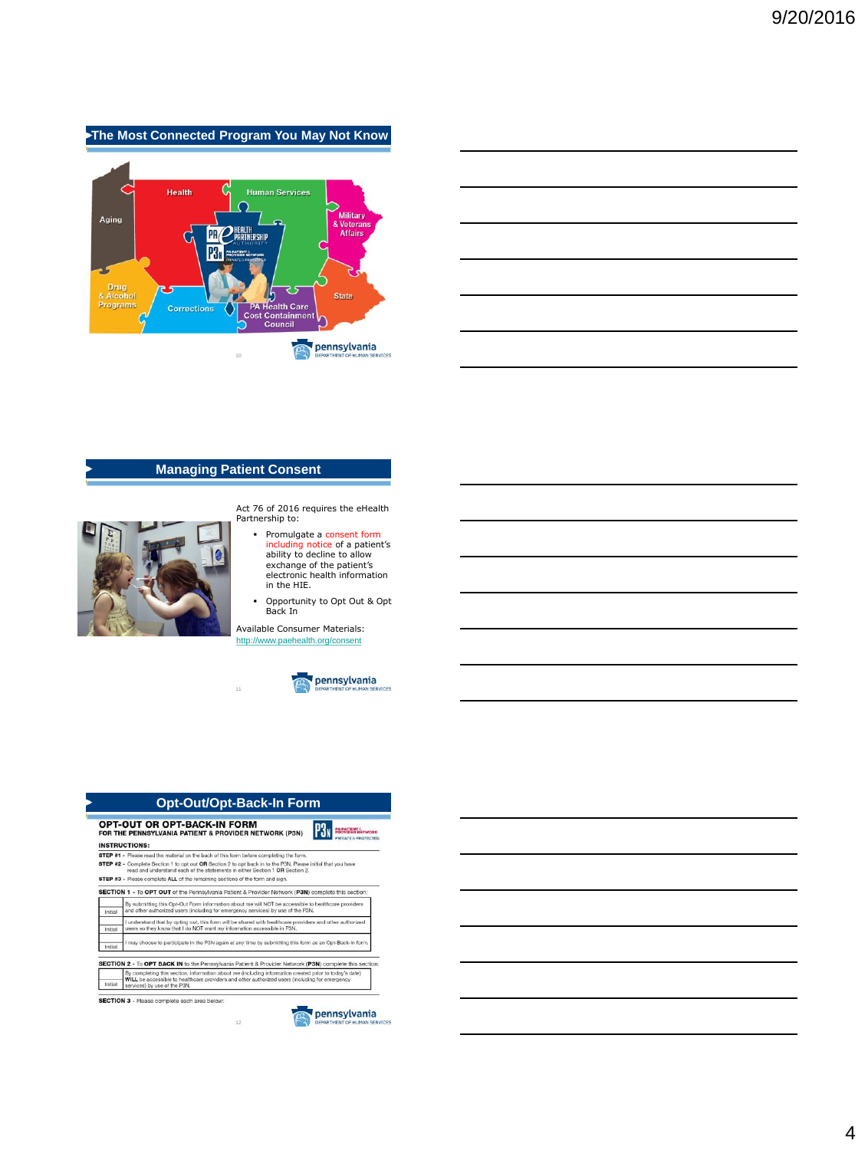# **The Most Connected Program You May Not Know**



## **Managing Patient Consent**



Act 76 of 2016 requires the eHealth Partnership to:

- Promulgate a consent form including notice of a patient's ability to decline to allow exchange of the patient's electronic health information in the HIE.
- Opportunity to Opt Out & Opt Back In

Available Consumer Materials: <http://www.paehealth.org/consent>



## **Opt-Out/Opt-Back-In Form**

11

| PRIVATE <b>6 PROTECTED</b><br><b>INSTRUCTIONS:</b> |                                                                                                                                                                                                                                          |  |  |  |
|----------------------------------------------------|------------------------------------------------------------------------------------------------------------------------------------------------------------------------------------------------------------------------------------------|--|--|--|
|                                                    | STEP #1 - Please read the material on the back of this form before completing the form.                                                                                                                                                  |  |  |  |
|                                                    | STEP #2 - Complete Section 1 to opt out OR Section 2 to opt back in to the P3N. Please initial that you have                                                                                                                             |  |  |  |
|                                                    | read and understand each of the statements in either Section 1 OR Section 2.                                                                                                                                                             |  |  |  |
|                                                    | STEP #3 - Please complete ALL of the remaining sections of the form and sign.                                                                                                                                                            |  |  |  |
|                                                    | SECTION 1 - To OPT OUT of the Pennsylvania Patient & Provider Network (P3N) complete this section:                                                                                                                                       |  |  |  |
| Initial                                            | By submitting this Opt-Out Form information about me will NOT be accessible to healthcare providers<br>and other authorized users (including for emergency services) by use of the P3N.                                                  |  |  |  |
| Initial                                            | I understand that by opting out, this form will be shared with healthcare providers and other authorized<br>users so they know that I do NOT want my information accessible in P3N.                                                      |  |  |  |
| Initial                                            | I may choose to participate in the P3N again at any time by submitting this form as an Opt-Back-In form.                                                                                                                                 |  |  |  |
|                                                    | SECTION 2 - To OPT BACK IN to the Pennsylvania Patient & Provider Network (P3N) complete this section:                                                                                                                                   |  |  |  |
| Initial                                            | By completing this section, information about me (including information created prior to today's date)<br>WILL be accessible to healthcare providers and other authorized users (including for emergency<br>services) by use of the P3N. |  |  |  |

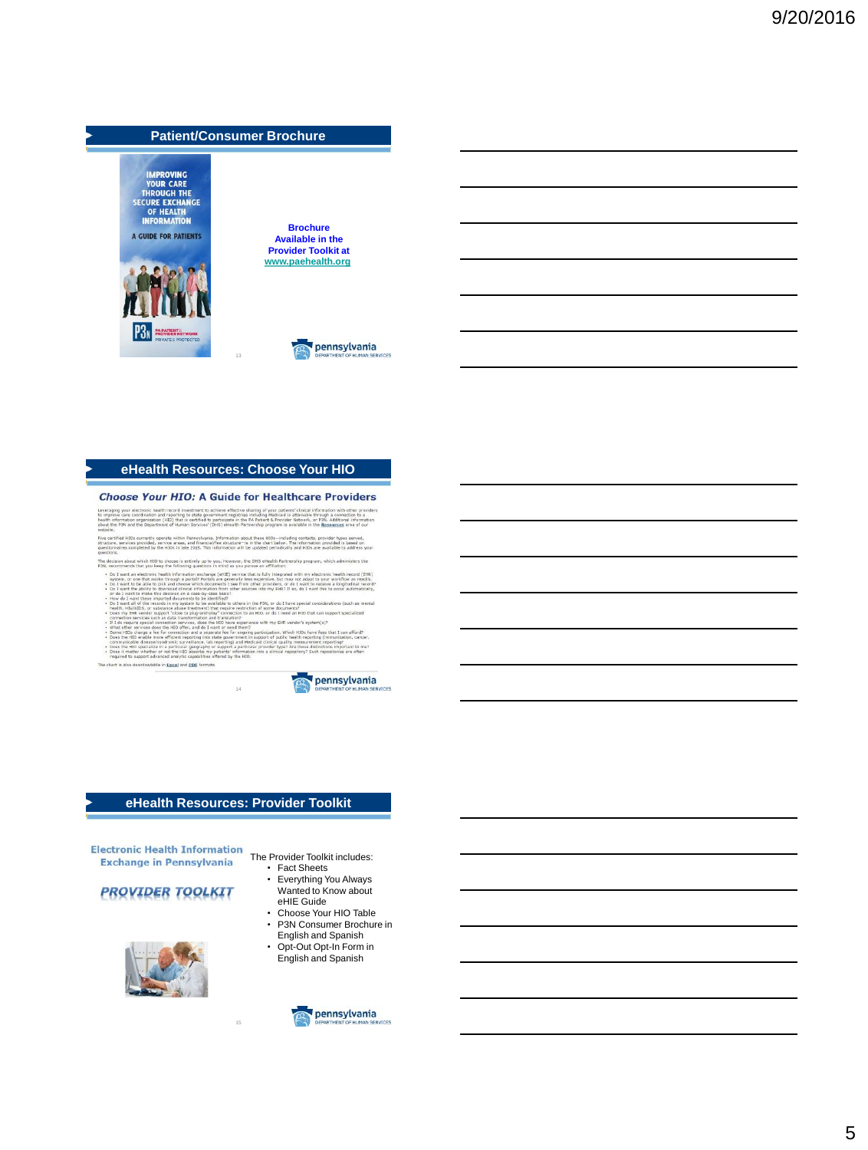

### **eHealth Resources: Choose Your HIO**

### **Choose Your HIO: A Guide for Healthcare Providers**

reraging your electronic health record investment to actreve effective sharing of your pa<br>improve care coordination and reporting to state government registries including Medical<br>lith information organization (HIO) that is of is attainable through a connection to a<br>vider Network, or P3N. Additional informative available in the Researches area of our

.<br>Brue cerbfied HIOs currently operate within Pennsylvania, Information about these HIOs—including contacts, provider types served,<br>Bructure, services provided, service areas, and financial/fee structure—is in the chart be

- The decision about which HIO to choose is entirely up to you. However, the DHS eHealth Partnership program, which ad<br>P3N, recommends that you keep the following questions in mind as you pursue an affiliation: rs the Montension and the state of the state of the state of the state of the state of the state of the state of the state of the state of the state of the state of the state of the state of the state of the state of the state o
- 
- 
- 
- 

14

The chart is also downloadable in Excel and PDE formats.



### **eHealth Resources: Provider Toolkit**

15

Electronic Health Information<br>The Provider Toolkit includes: **Exchange in Pennsylvania** 

# **PROVIDER TOOLKIT**



- Fact Sheets • Everything You Always Wanted to Know about
- eHIE Guide • Choose Your HIO Table • P3N Consumer Brochure in
- English and Spanish
- Opt-Out Opt-In Form in English and Spanish

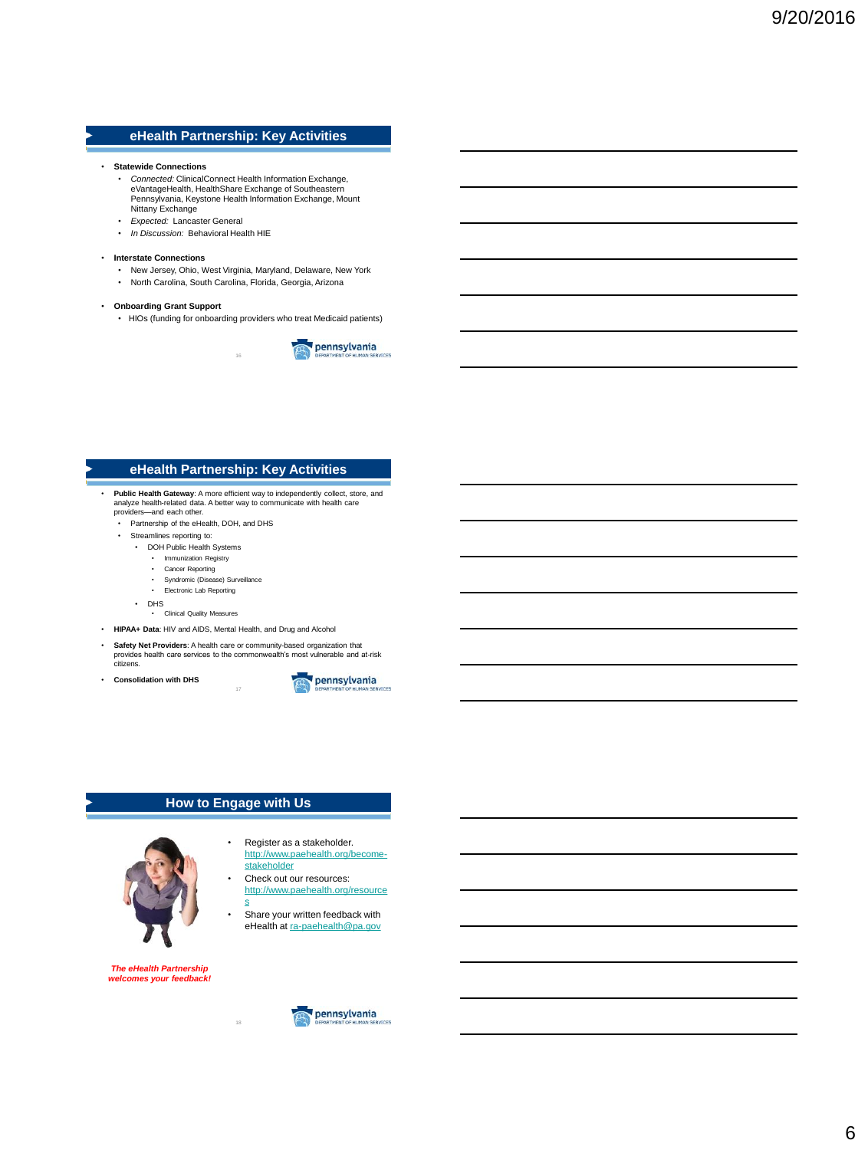# **eHealth Partnership: Key Activities**

- **Statewide Connections**
	- *Connected:* ClinicalConnect Health Information Exchange, eVantageHealth, HealthShare Exchange of Southeastern Pennsylvania, Keystone Health Information Exchange, Mount Nittany Exchange
	- *Expected:* Lancaster General
	- *In Discussion:* Behavioral Health HIE

#### • **Interstate Connections**

- New Jersey, Ohio, West Virginia, Maryland, Delaware, New York
- North Carolina, South Carolina, Florida, Georgia, Arizona

### • **Onboarding Grant Support**

• HIOs (funding for onboarding providers who treat Medicaid patients)

16



## **eHealth Partnership: Key Activities**

- **Public Health Gateway**: A more efficient way to independently collect, store, and analyze health-related data. A better way to communicate with health care providers—and each other.
	- Partnership of the eHealth, DOH, and DHS
	- Streamlines reporting to:
		- DOH Public Health Systems
			- Immunization Registry
			- Cancer Reporting
			- Syndromic (Disease) Surveillance
			- Electronic Lab Reporting
		- DHS
			- Clinical Quality Measures
- **HIPAA+ Data**: HIV and AIDS, Mental Health, and Drug and Alcohol
- **Safety Net Providers**: A health care or community-based organization that provides health care services to the commonwealth's most vulnerable and at-risk citizens.

17

• **Consolidation with DHS**



## **How to Engage with Us**

18



- Register as a stakeholder. [http://www.paehealth.org/become-](http://www.paehealth.org/become-stakeholder)
- [stakeholder](http://www.paehealth.org/become-stakeholder) Check out our resources: [http://www.paehealth.org/resource](http://www.paehealth.org/resources)
- [s](http://www.paehealth.org/resources) • Share your written feedback with eHealth at [ra-paehealth@pa.gov](mailto:ra-paehealth@pa.gov)

*The eHealth Partnership welcomes your feedback!*